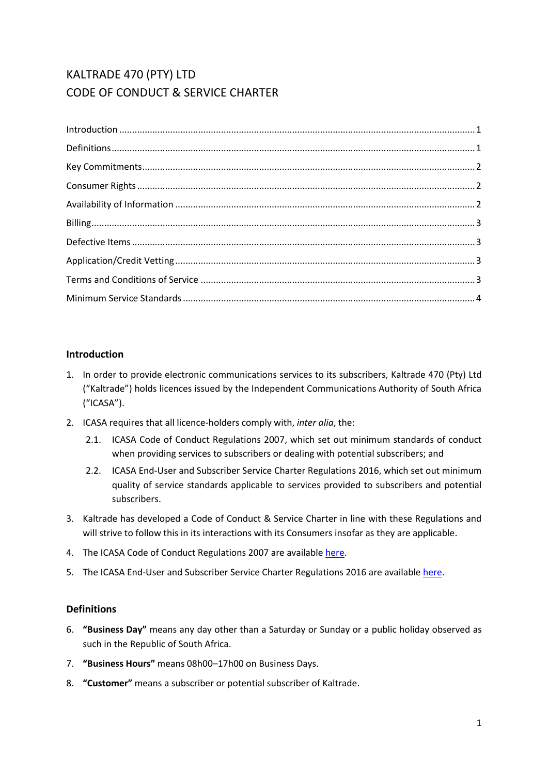# KALTRADE 470 (PTY) LTD CODE OF CONDUCT & SERVICE CHARTER

| $\label{eq:1} \mbox{Introduction} \,\, \ldots \,\, \ldots \,\, \ldots \,\, \ldots \,\, \ldots \,\, \ldots \,\, \ldots \,\, \ldots \,\, \ldots \,\, \ldots \,\, \ldots \,\, \ldots \,\, \ldots \,\, \ldots \,\, \ldots \,\, \ldots \,\, \ldots \,\, \ldots \,\, \ldots \,\, \ldots \,\, \ldots \,\, \ldots \,\, \ldots \,\, \ldots \,\, \ldots \,\, \ldots \,\, \ldots \,\, \ldots \,\, \ldots \,\, \ldots \,\, \ldots \,\, \ldots \,\, \ldots \,\, \ldots \,\,$ |  |
|-----------------------------------------------------------------------------------------------------------------------------------------------------------------------------------------------------------------------------------------------------------------------------------------------------------------------------------------------------------------------------------------------------------------------------------------------------------------|--|
|                                                                                                                                                                                                                                                                                                                                                                                                                                                                 |  |
|                                                                                                                                                                                                                                                                                                                                                                                                                                                                 |  |
|                                                                                                                                                                                                                                                                                                                                                                                                                                                                 |  |
|                                                                                                                                                                                                                                                                                                                                                                                                                                                                 |  |
|                                                                                                                                                                                                                                                                                                                                                                                                                                                                 |  |
|                                                                                                                                                                                                                                                                                                                                                                                                                                                                 |  |
|                                                                                                                                                                                                                                                                                                                                                                                                                                                                 |  |
|                                                                                                                                                                                                                                                                                                                                                                                                                                                                 |  |
|                                                                                                                                                                                                                                                                                                                                                                                                                                                                 |  |

# <span id="page-0-0"></span>**Introduction**

- 1. In order to provide electronic communications services to its subscribers, Kaltrade 470 (Pty) Ltd ("Kaltrade") holds licences issued by the Independent Communications Authority of South Africa ("ICASA").
- 2. ICASA requires that all licence-holders comply with, *inter alia*, the:
	- 2.1. ICASA Code of Conduct Regulations 2007, which set out minimum standards of conduct when providing services to subscribers or dealing with potential subscribers; and
	- 2.2. ICASA End-User and Subscriber Service Charter Regulations 2016, which set out minimum quality of service standards applicable to services provided to subscribers and potential subscribers.
- 3. Kaltrade has developed a Code of Conduct & Service Charter in line with these Regulations and will strive to follow this in its interactions with its Consumers insofar as they are applicable.
- 4. The ICASA Code of Conduct Regulations 2007 are availabl[e here.](http://www.ellipsis.co.za/wp-content/uploads/2017/04/Code_of_Conduct_Regulations_2007.pdf)
- <span id="page-0-1"></span>5. The ICASA End-User and Subscriber Service Charter Regulations 2016 are availabl[e here.](http://www.ellipsis.co.za/wp-content/uploads/2015/10/EUSSC-Regulations-2016.pdf)

## **Definitions**

- 6. **"Business Day"** means any day other than a Saturday or Sunday or a public holiday observed as such in the Republic of South Africa.
- 7. **"Business Hours"** means 08h00–17h00 on Business Days.
- 8. **"Customer"** means a subscriber or potential subscriber of Kaltrade.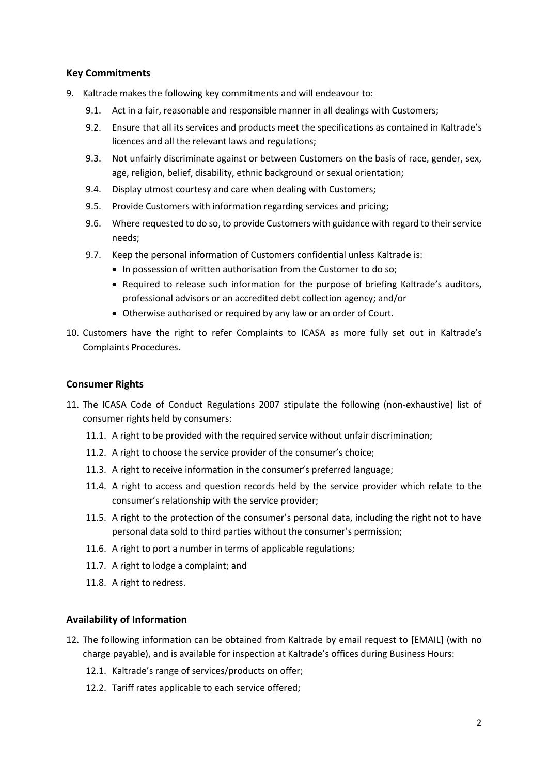## <span id="page-1-0"></span>**Key Commitments**

- 9. Kaltrade makes the following key commitments and will endeavour to:
	- 9.1. Act in a fair, reasonable and responsible manner in all dealings with Customers;
	- 9.2. Ensure that all its services and products meet the specifications as contained in Kaltrade's licences and all the relevant laws and regulations;
	- 9.3. Not unfairly discriminate against or between Customers on the basis of race, gender, sex, age, religion, belief, disability, ethnic background or sexual orientation;
	- 9.4. Display utmost courtesy and care when dealing with Customers;
	- 9.5. Provide Customers with information regarding services and pricing;
	- 9.6. Where requested to do so, to provide Customers with guidance with regard to their service needs;
	- 9.7. Keep the personal information of Customers confidential unless Kaltrade is:
		- In possession of written authorisation from the Customer to do so;
		- Required to release such information for the purpose of briefing Kaltrade's auditors, professional advisors or an accredited debt collection agency; and/or
		- Otherwise authorised or required by any law or an order of Court.
- 10. Customers have the right to refer Complaints to ICASA as more fully set out in Kaltrade's Complaints Procedures.

#### <span id="page-1-1"></span>**Consumer Rights**

- 11. The ICASA Code of Conduct Regulations 2007 stipulate the following (non-exhaustive) list of consumer rights held by consumers:
	- 11.1. A right to be provided with the required service without unfair discrimination;
	- 11.2. A right to choose the service provider of the consumer's choice;
	- 11.3. A right to receive information in the consumer's preferred language;
	- 11.4. A right to access and question records held by the service provider which relate to the consumer's relationship with the service provider;
	- 11.5. A right to the protection of the consumer's personal data, including the right not to have personal data sold to third parties without the consumer's permission;
	- 11.6. A right to port a number in terms of applicable regulations;
	- 11.7. A right to lodge a complaint; and
	- 11.8. A right to redress.

## <span id="page-1-2"></span>**Availability of Information**

- 12. The following information can be obtained from Kaltrade by email request to [EMAIL] (with no charge payable), and is available for inspection at Kaltrade's offices during Business Hours:
	- 12.1. Kaltrade's range of services/products on offer;
	- 12.2. Tariff rates applicable to each service offered;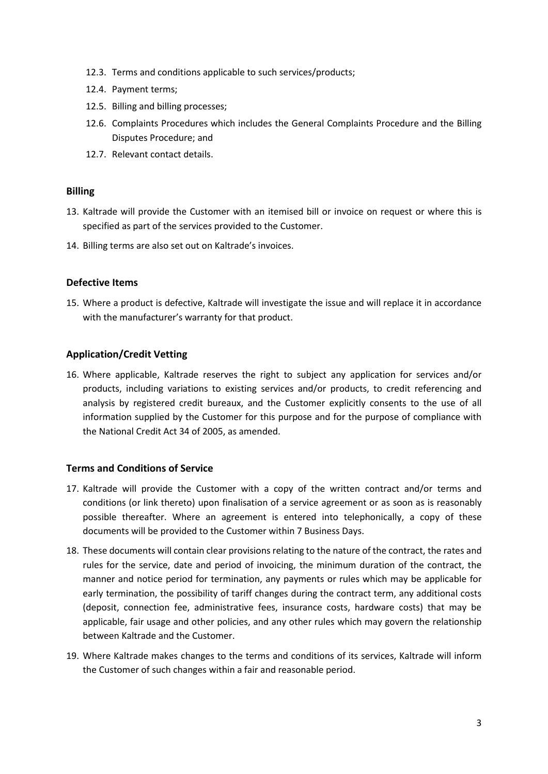- 12.3. Terms and conditions applicable to such services/products;
- 12.4. Payment terms;
- 12.5. Billing and billing processes;
- 12.6. Complaints Procedures which includes the General Complaints Procedure and the Billing Disputes Procedure; and
- 12.7. Relevant contact details.

#### <span id="page-2-0"></span>**Billing**

- 13. Kaltrade will provide the Customer with an itemised bill or invoice on request or where this is specified as part of the services provided to the Customer.
- <span id="page-2-1"></span>14. Billing terms are also set out on Kaltrade's invoices.

## **Defective Items**

15. Where a product is defective, Kaltrade will investigate the issue and will replace it in accordance with the manufacturer's warranty for that product.

## <span id="page-2-2"></span>**Application/Credit Vetting**

16. Where applicable, Kaltrade reserves the right to subject any application for services and/or products, including variations to existing services and/or products, to credit referencing and analysis by registered credit bureaux, and the Customer explicitly consents to the use of all information supplied by the Customer for this purpose and for the purpose of compliance with the National Credit Act 34 of 2005, as amended.

## <span id="page-2-3"></span>**Terms and Conditions of Service**

- 17. Kaltrade will provide the Customer with a copy of the written contract and/or terms and conditions (or link thereto) upon finalisation of a service agreement or as soon as is reasonably possible thereafter. Where an agreement is entered into telephonically, a copy of these documents will be provided to the Customer within 7 Business Days.
- 18. These documents will contain clear provisions relating to the nature of the contract, the rates and rules for the service, date and period of invoicing, the minimum duration of the contract, the manner and notice period for termination, any payments or rules which may be applicable for early termination, the possibility of tariff changes during the contract term, any additional costs (deposit, connection fee, administrative fees, insurance costs, hardware costs) that may be applicable, fair usage and other policies, and any other rules which may govern the relationship between Kaltrade and the Customer.
- 19. Where Kaltrade makes changes to the terms and conditions of its services, Kaltrade will inform the Customer of such changes within a fair and reasonable period.